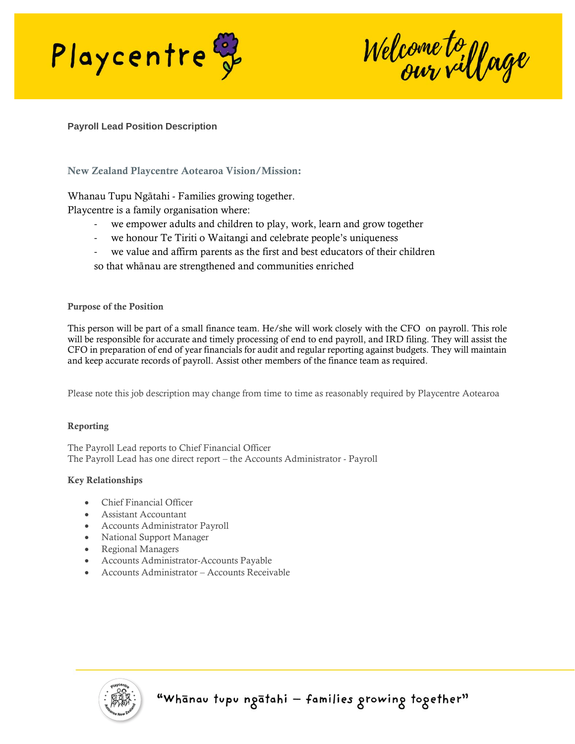

Welcome to yage

## **Payroll Lead Position Description**

# New Zealand Playcentre Aotearoa Vision/Mission:

Whanau Tupu Ngātahi - Families growing together.

Playcentre is a family organisation where:

- we empower adults and children to play, work, learn and grow together
- we honour Te Tiriti o Waitangi and celebrate people's uniqueness
- we value and affirm parents as the first and best educators of their children
- so that whānau are strengthened and communities enriched

### Purpose of the Position

This person will be part of a small finance team. He/she will work closely with the CFO on payroll. This role will be responsible for accurate and timely processing of end to end payroll, and IRD filing. They will assist the CFO in preparation of end of year financials for audit and regular reporting against budgets. They will maintain and keep accurate records of payroll. Assist other members of the finance team as required.

Please note this job description may change from time to time as reasonably required by Playcentre Aotearoa

### Reporting

The Payroll Lead reports to Chief Financial Officer The Payroll Lead has one direct report – the Accounts Administrator - Payroll

### Key Relationships

- Chief Financial Officer
- Assistant Accountant
- Accounts Administrator Payroll
- National Support Manager
- Regional Managers
- Accounts Administrator-Accounts Payable
- Accounts Administrator Accounts Receivable

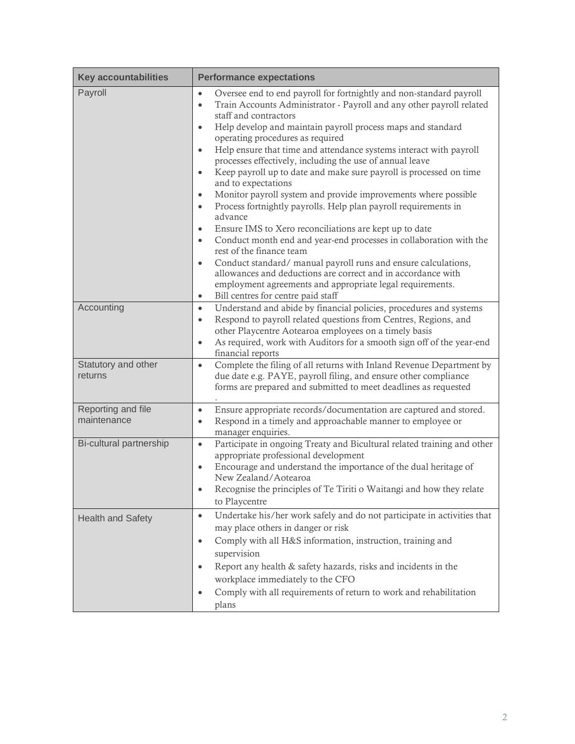| <b>Key accountabilities</b>       | <b>Performance expectations</b>                                                                                                                                                                                                                                                                                                                                                                                                                                                                                                                                                                                                                                                                                                                                                                                                                                                                                                                                                                                                                                                                                                                                                                       |
|-----------------------------------|-------------------------------------------------------------------------------------------------------------------------------------------------------------------------------------------------------------------------------------------------------------------------------------------------------------------------------------------------------------------------------------------------------------------------------------------------------------------------------------------------------------------------------------------------------------------------------------------------------------------------------------------------------------------------------------------------------------------------------------------------------------------------------------------------------------------------------------------------------------------------------------------------------------------------------------------------------------------------------------------------------------------------------------------------------------------------------------------------------------------------------------------------------------------------------------------------------|
| Payroll                           | Oversee end to end payroll for fortnightly and non-standard payroll<br>$\bullet$<br>Train Accounts Administrator - Payroll and any other payroll related<br>$\bullet$<br>staff and contractors<br>Help develop and maintain payroll process maps and standard<br>$\bullet$<br>operating procedures as required<br>Help ensure that time and attendance systems interact with payroll<br>$\bullet$<br>processes effectively, including the use of annual leave<br>Keep payroll up to date and make sure payroll is processed on time<br>$\bullet$<br>and to expectations<br>Monitor payroll system and provide improvements where possible<br>$\bullet$<br>Process fortnightly payrolls. Help plan payroll requirements in<br>$\bullet$<br>advance<br>Ensure IMS to Xero reconciliations are kept up to date<br>$\bullet$<br>Conduct month end and year-end processes in collaboration with the<br>$\bullet$<br>rest of the finance team<br>Conduct standard/manual payroll runs and ensure calculations,<br>$\bullet$<br>allowances and deductions are correct and in accordance with<br>employment agreements and appropriate legal requirements.<br>Bill centres for centre paid staff<br>$\bullet$ |
| Accounting                        | Understand and abide by financial policies, procedures and systems<br>$\bullet$<br>Respond to payroll related questions from Centres, Regions, and<br>$\bullet$<br>other Playcentre Aotearoa employees on a timely basis<br>As required, work with Auditors for a smooth sign off of the year-end<br>$\bullet$<br>financial reports                                                                                                                                                                                                                                                                                                                                                                                                                                                                                                                                                                                                                                                                                                                                                                                                                                                                   |
| Statutory and other<br>returns    | Complete the filing of all returns with Inland Revenue Department by<br>$\bullet$<br>due date e.g. PAYE, payroll filing, and ensure other compliance<br>forms are prepared and submitted to meet deadlines as requested                                                                                                                                                                                                                                                                                                                                                                                                                                                                                                                                                                                                                                                                                                                                                                                                                                                                                                                                                                               |
| Reporting and file<br>maintenance | Ensure appropriate records/documentation are captured and stored.<br>$\bullet$<br>Respond in a timely and approachable manner to employee or<br>$\bullet$<br>manager enquiries.                                                                                                                                                                                                                                                                                                                                                                                                                                                                                                                                                                                                                                                                                                                                                                                                                                                                                                                                                                                                                       |
| Bi-cultural partnership           | Participate in ongoing Treaty and Bicultural related training and other<br>$\bullet$<br>appropriate professional development<br>Encourage and understand the importance of the dual heritage of<br>$\bullet$<br>New Zealand/Aotearoa<br>Recognise the principles of Te Tiriti o Waitangi and how they relate<br>to Playcentre                                                                                                                                                                                                                                                                                                                                                                                                                                                                                                                                                                                                                                                                                                                                                                                                                                                                         |
| <b>Health and Safety</b>          | Undertake his/her work safely and do not participate in activities that<br>$\bullet$<br>may place others in danger or risk<br>Comply with all H&S information, instruction, training and<br>$\bullet$<br>supervision<br>Report any health & safety hazards, risks and incidents in the<br>$\bullet$<br>workplace immediately to the CFO<br>Comply with all requirements of return to work and rehabilitation<br>$\bullet$<br>plans                                                                                                                                                                                                                                                                                                                                                                                                                                                                                                                                                                                                                                                                                                                                                                    |